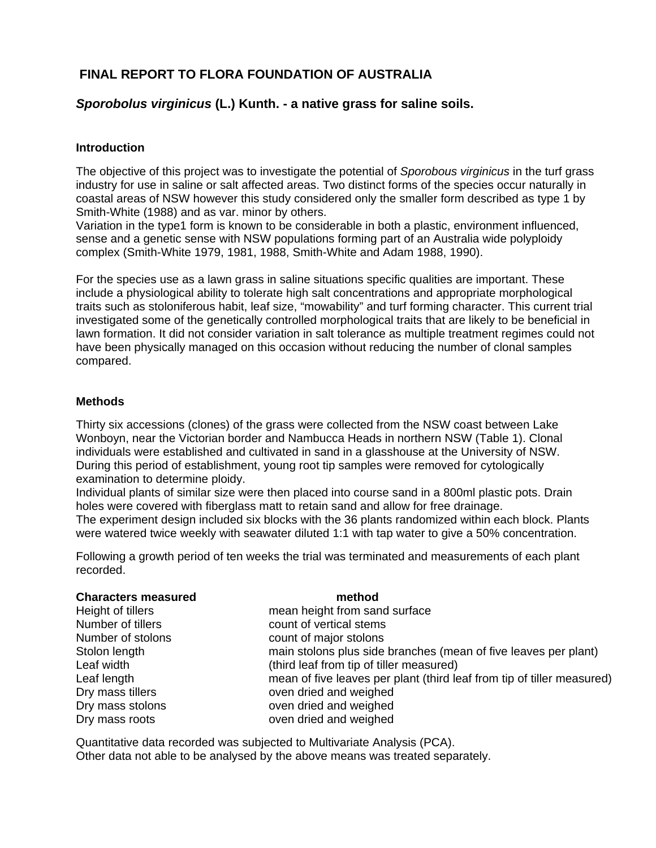# **FINAL REPORT TO FLORA FOUNDATION OF AUSTRALIA**

## *Sporobolus virginicus* **(L.) Kunth. - a native grass for saline soils.**

#### **Introduction**

The objective of this project was to investigate the potential of *Sporobous virginicus* in the turf grass industry for use in saline or salt affected areas. Two distinct forms of the species occur naturally in coastal areas of NSW however this study considered only the smaller form described as type 1 by Smith-White (1988) and as var. minor by others.

Variation in the type1 form is known to be considerable in both a plastic, environment influenced, sense and a genetic sense with NSW populations forming part of an Australia wide polyploidy complex (Smith-White 1979, 1981, 1988, Smith-White and Adam 1988, 1990).

For the species use as a lawn grass in saline situations specific qualities are important. These include a physiological ability to tolerate high salt concentrations and appropriate morphological traits such as stoloniferous habit, leaf size, "mowability" and turf forming character. This current trial investigated some of the genetically controlled morphological traits that are likely to be beneficial in lawn formation. It did not consider variation in salt tolerance as multiple treatment regimes could not have been physically managed on this occasion without reducing the number of clonal samples compared.

#### **Methods**

Thirty six accessions (clones) of the grass were collected from the NSW coast between Lake Wonboyn, near the Victorian border and Nambucca Heads in northern NSW (Table 1). Clonal individuals were established and cultivated in sand in a glasshouse at the University of NSW. During this period of establishment, young root tip samples were removed for cytologically examination to determine ploidy.

Individual plants of similar size were then placed into course sand in a 800ml plastic pots. Drain holes were covered with fiberglass matt to retain sand and allow for free drainage. The experiment design included six blocks with the 36 plants randomized within each block. Plants

were watered twice weekly with seawater diluted 1:1 with tap water to give a 50% concentration.

Following a growth period of ten weeks the trial was terminated and measurements of each plant recorded.

| <b>Characters measured</b> | method                                                                 |
|----------------------------|------------------------------------------------------------------------|
| Height of tillers          | mean height from sand surface                                          |
| Number of tillers          | count of vertical stems                                                |
| Number of stolons          | count of major stolons                                                 |
| Stolon length              | main stolons plus side branches (mean of five leaves per plant)        |
| Leaf width                 | (third leaf from tip of tiller measured)                               |
| Leaf length                | mean of five leaves per plant (third leaf from tip of tiller measured) |
| Dry mass tillers           | oven dried and weighed                                                 |
| Dry mass stolons           | oven dried and weighed                                                 |
| Dry mass roots             | oven dried and weighed                                                 |

Quantitative data recorded was subjected to Multivariate Analysis (PCA). Other data not able to be analysed by the above means was treated separately.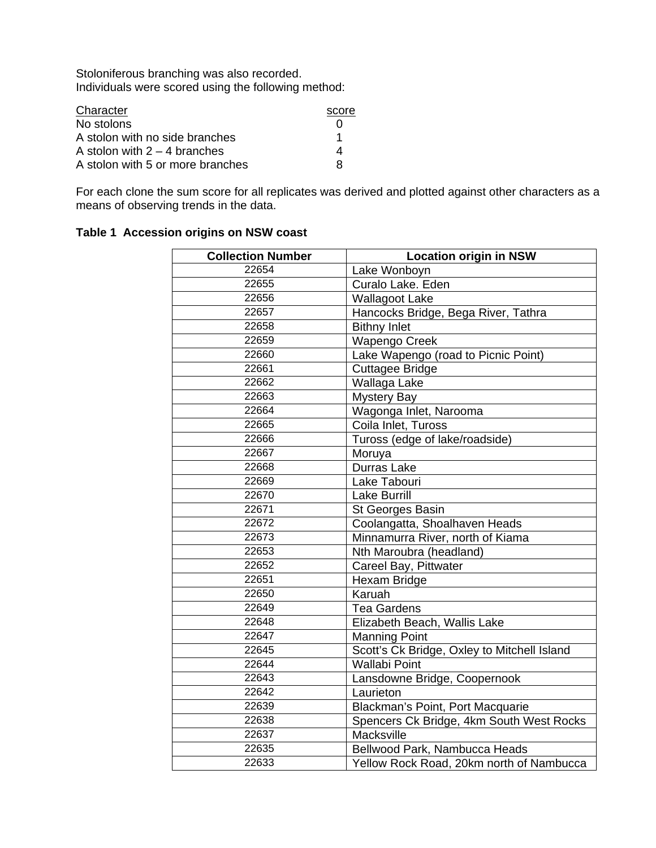Stoloniferous branching was also recorded. Individuals were scored using the following method:

| Character                        | score |
|----------------------------------|-------|
| No stolons                       |       |
| A stolon with no side branches   | 1     |
| A stolon with $2 - 4$ branches   | 4     |
| A stolon with 5 or more branches | я     |

For each clone the sum score for all replicates was derived and plotted against other characters as a means of observing trends in the data.

# **Table 1 Accession origins on NSW coast**

| <b>Collection Number</b> | <b>Location origin in NSW</b>               |  |  |  |  |
|--------------------------|---------------------------------------------|--|--|--|--|
| 22654                    | Lake Wonboyn                                |  |  |  |  |
| 22655                    | Curalo Lake. Eden                           |  |  |  |  |
| 22656                    | <b>Wallagoot Lake</b>                       |  |  |  |  |
| 22657                    | Hancocks Bridge, Bega River, Tathra         |  |  |  |  |
| 22658                    | <b>Bithny Inlet</b>                         |  |  |  |  |
| 22659                    | <b>Wapengo Creek</b>                        |  |  |  |  |
| 22660                    | Lake Wapengo (road to Picnic Point)         |  |  |  |  |
| 22661                    | Cuttagee Bridge                             |  |  |  |  |
| 22662                    | Wallaga Lake                                |  |  |  |  |
| 22663                    | <b>Mystery Bay</b>                          |  |  |  |  |
| 22664                    | Wagonga Inlet, Narooma                      |  |  |  |  |
| 22665                    | Coila Inlet, Tuross                         |  |  |  |  |
| 22666                    | Tuross (edge of lake/roadside)              |  |  |  |  |
| 22667                    | Moruya                                      |  |  |  |  |
| 22668                    | <b>Durras Lake</b>                          |  |  |  |  |
| 22669                    | Lake Tabouri                                |  |  |  |  |
| 22670                    | <b>Lake Burrill</b>                         |  |  |  |  |
| 22671                    | St Georges Basin                            |  |  |  |  |
| 22672                    | Coolangatta, Shoalhaven Heads               |  |  |  |  |
| 22673                    | Minnamurra River, north of Kiama            |  |  |  |  |
| 22653                    | Nth Maroubra (headland)                     |  |  |  |  |
| 22652                    | Careel Bay, Pittwater                       |  |  |  |  |
| 22651                    | Hexam Bridge                                |  |  |  |  |
| 22650                    | Karuah                                      |  |  |  |  |
| 22649                    | <b>Tea Gardens</b>                          |  |  |  |  |
| 22648                    | Elizabeth Beach, Wallis Lake                |  |  |  |  |
| 22647                    | <b>Manning Point</b>                        |  |  |  |  |
| 22645                    | Scott's Ck Bridge, Oxley to Mitchell Island |  |  |  |  |
| 22644                    | <b>Wallabi Point</b>                        |  |  |  |  |
| 22643                    | Lansdowne Bridge, Coopernook                |  |  |  |  |
| 22642                    | Laurieton                                   |  |  |  |  |
| 22639                    | Blackman's Point, Port Macquarie            |  |  |  |  |
| 22638                    | Spencers Ck Bridge, 4km South West Rocks    |  |  |  |  |
| 22637                    | Macksville                                  |  |  |  |  |
| 22635                    | Bellwood Park, Nambucca Heads               |  |  |  |  |
| 22633                    | Yellow Rock Road, 20km north of Nambucca    |  |  |  |  |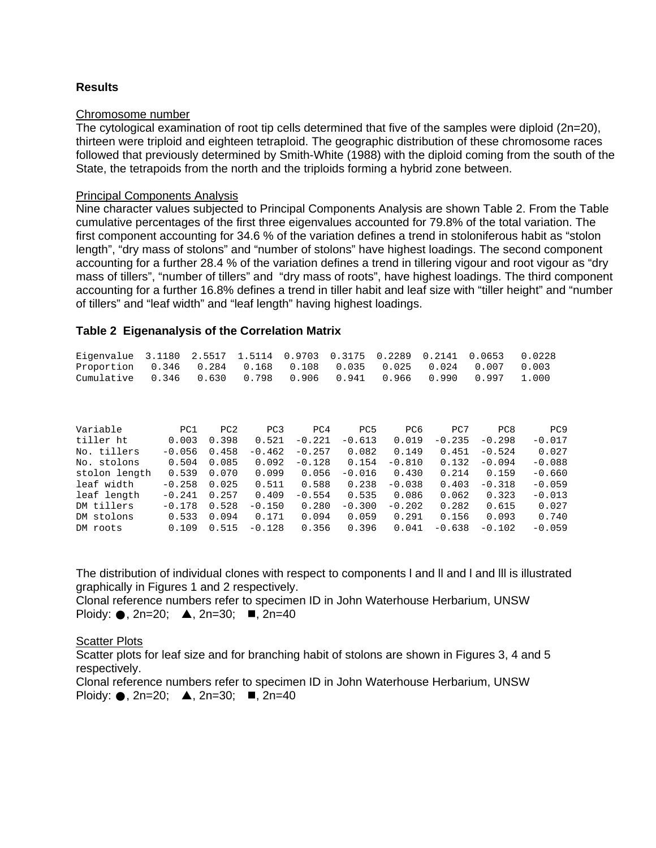#### **Results**

#### Chromosome number

The cytological examination of root tip cells determined that five of the samples were diploid (2n=20), thirteen were triploid and eighteen tetraploid. The geographic distribution of these chromosome races followed that previously determined by Smith-White (1988) with the diploid coming from the south of the State, the tetrapoids from the north and the triploids forming a hybrid zone between.

#### Principal Components Analysis

Nine character values subjected to Principal Components Analysis are shown Table 2. From the Table cumulative percentages of the first three eigenvalues accounted for 79.8% of the total variation. The first component accounting for 34.6 % of the variation defines a trend in stoloniferous habit as "stolon length", "dry mass of stolons" and "number of stolons" have highest loadings. The second component accounting for a further 28.4 % of the variation defines a trend in tillering vigour and root vigour as "dry mass of tillers", "number of tillers" and "dry mass of roots", have highest loadings. The third component accounting for a further 16.8% defines a trend in tiller habit and leaf size with "tiller height" and "number of tillers" and "leaf width" and "leaf length" having highest loadings.

#### **Table 2 Eigenanalysis of the Correlation Matrix**

| Eigenvalue 3.1180 2.5517 1.5114 0.9703 0.3175 0.2289 0.2141 0.0653 0.0228 |  |  |  |  |  |
|---------------------------------------------------------------------------|--|--|--|--|--|
| Proportion 0.346 0.284 0.168 0.108 0.035 0.025 0.024 0.007 0.003          |  |  |  |  |  |
| Cumulative 0.346 0.630 0.798 0.906 0.941 0.966 0.990 0.997 1.000          |  |  |  |  |  |

| Variable      | PC1      | PC2   | PC <sub>3</sub> | PC <sub>4</sub> | PC <sub>5</sub> | PC <sub>6</sub> | PC7      | PC8      | PC <sub>9</sub> |
|---------------|----------|-------|-----------------|-----------------|-----------------|-----------------|----------|----------|-----------------|
| tiller ht     | 0.003    | 0.398 | 0.521           | $-0.221$        | $-0.613$        | 0.019           | $-0.235$ | $-0.298$ | $-0.017$        |
| No. tillers   | $-0.056$ | 0.458 | $-0.462$        | $-0.257$        | 0.082           | 0.149           | 0.451    | $-0.524$ | 0.027           |
| No. stolons   | 0.504    | 0.085 | 0.092           | $-0.128$        | 0.154           | $-0.810$        | 0.132    | $-0.094$ | $-0.088$        |
| stolon length | 0.539    | 0.070 | 0.099           | 0.056           | $-0.016$        | 0.430           | 0.214    | 0.159    | $-0.660$        |
| leaf width    | $-0.258$ | 0.025 | 0.511           | 0.588           | 0.238           | $-0.038$        | 0.403    | $-0.318$ | $-0.059$        |
| leaf length   | $-0.241$ | 0.257 | 0.409           | $-0.554$        | 0.535           | 0.086           | 0.062    | 0.323    | $-0.013$        |
| DM tillers    | $-0.178$ | 0.528 | $-0.150$        | 0.280           | $-0.300$        | $-0.202$        | 0.282    | 0.615    | 0.027           |
| DM stolons    | 0.533    | 0.094 | 0.171           | 0.094           | 0.059           | 0.291           | 0.156    | 0.093    | 0.740           |
| DM roots      | 0.109    | 0.515 | $-0.128$        | 0.356           | 0.396           | 0.041           | $-0.638$ | $-0.102$ | $-0.059$        |

The distribution of individual clones with respect to components I and II and I and III is illustrated graphically in Figures 1 and 2 respectively.

Clonal reference numbers refer to specimen ID in John Waterhouse Herbarium, UNSW Ploidy:  $\bullet$ , 2n=20;  $\bullet$ , 2n=30;  $\bullet$ , 2n=40

#### Scatter Plots

Scatter plots for leaf size and for branching habit of stolons are shown in Figures 3, 4 and 5 respectively.

Clonal reference numbers refer to specimen ID in John Waterhouse Herbarium, UNSW Ploidy:  $\bullet$ , 2n=20;  $\bullet$ , 2n=30;  $\bullet$ , 2n=40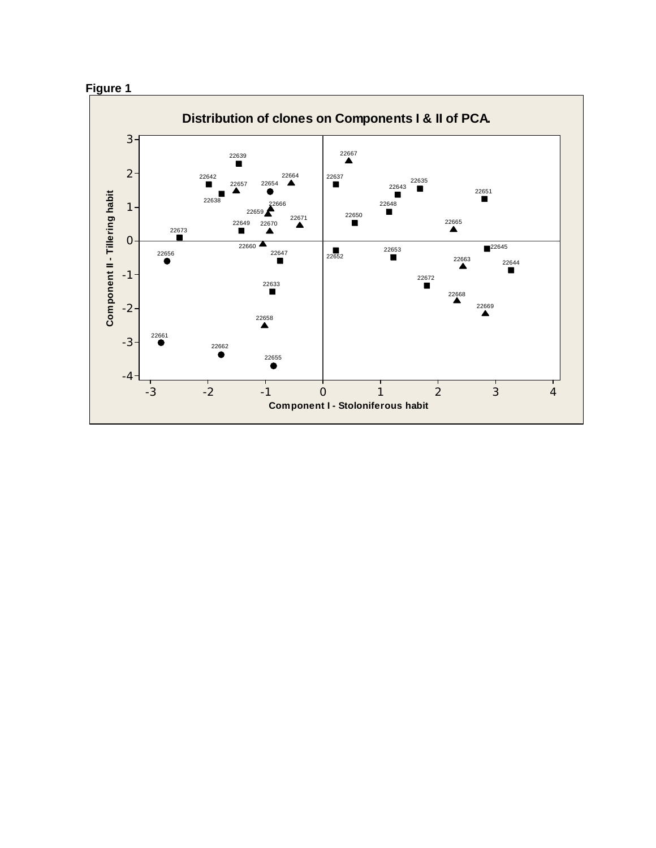# **Figure 1**

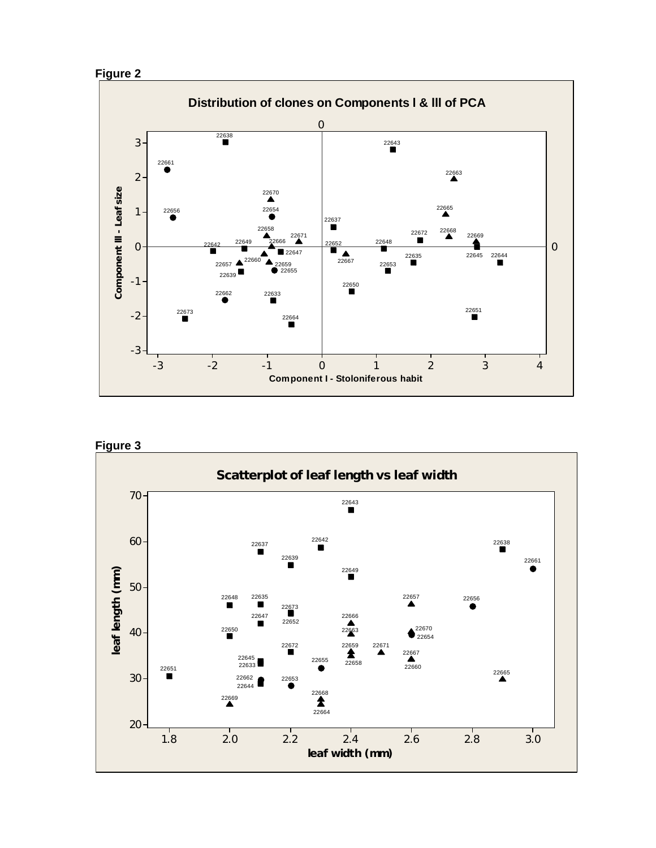





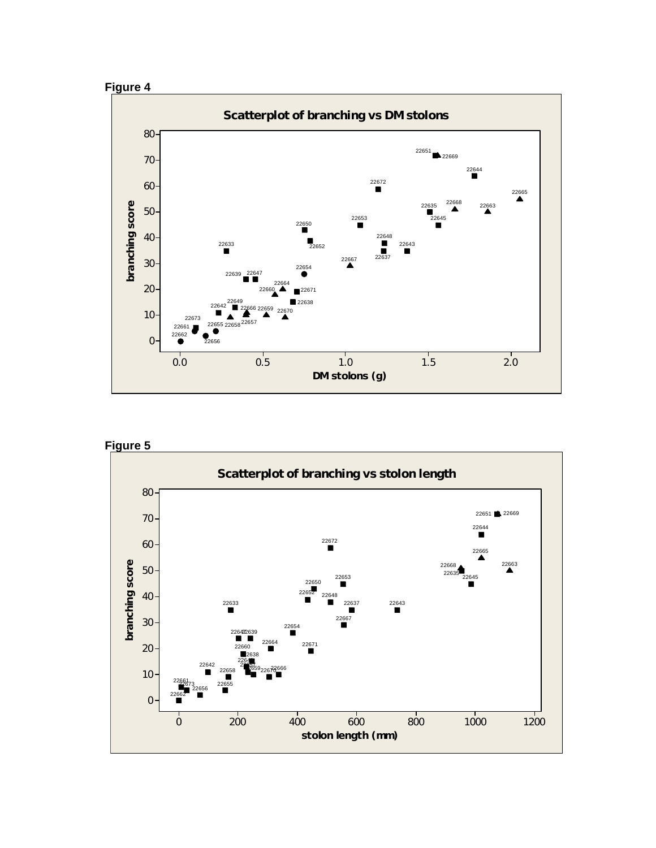





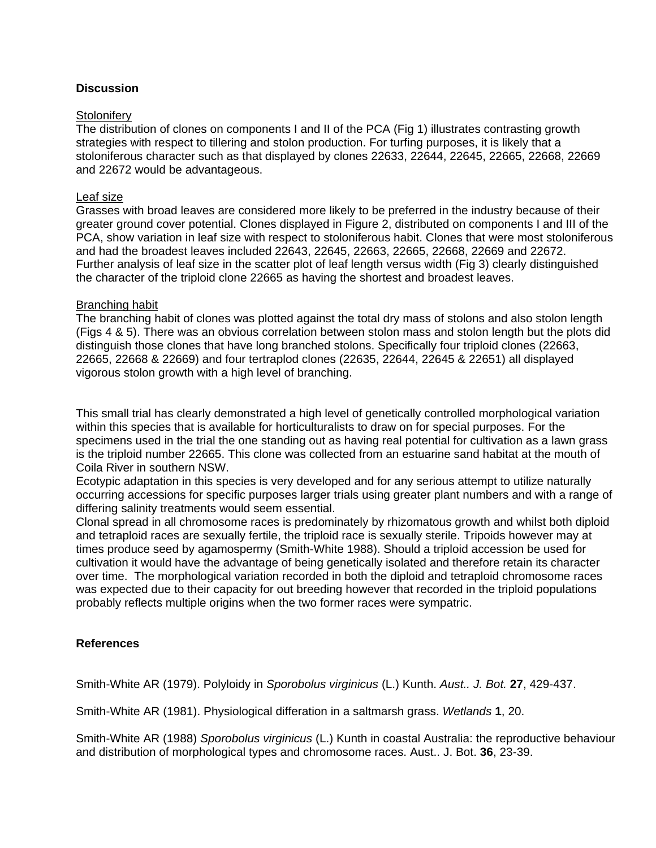### **Discussion**

#### **Stolonifery**

The distribution of clones on components I and II of the PCA (Fig 1) illustrates contrasting growth strategies with respect to tillering and stolon production. For turfing purposes, it is likely that a stoloniferous character such as that displayed by clones 22633, 22644, 22645, 22665, 22668, 22669 and 22672 would be advantageous.

#### Leaf size

Grasses with broad leaves are considered more likely to be preferred in the industry because of their greater ground cover potential. Clones displayed in Figure 2, distributed on components I and III of the PCA, show variation in leaf size with respect to stoloniferous habit. Clones that were most stoloniferous and had the broadest leaves included 22643, 22645, 22663, 22665, 22668, 22669 and 22672. Further analysis of leaf size in the scatter plot of leaf length versus width (Fig 3) clearly distinguished the character of the triploid clone 22665 as having the shortest and broadest leaves.

#### Branching habit

The branching habit of clones was plotted against the total dry mass of stolons and also stolon length (Figs 4 & 5). There was an obvious correlation between stolon mass and stolon length but the plots did distinguish those clones that have long branched stolons. Specifically four triploid clones (22663, 22665, 22668 & 22669) and four tertraplod clones (22635, 22644, 22645 & 22651) all displayed vigorous stolon growth with a high level of branching.

This small trial has clearly demonstrated a high level of genetically controlled morphological variation within this species that is available for horticulturalists to draw on for special purposes. For the specimens used in the trial the one standing out as having real potential for cultivation as a lawn grass is the triploid number 22665. This clone was collected from an estuarine sand habitat at the mouth of Coila River in southern NSW.

Ecotypic adaptation in this species is very developed and for any serious attempt to utilize naturally occurring accessions for specific purposes larger trials using greater plant numbers and with a range of differing salinity treatments would seem essential.

Clonal spread in all chromosome races is predominately by rhizomatous growth and whilst both diploid and tetraploid races are sexually fertile, the triploid race is sexually sterile. Tripoids however may at times produce seed by agamospermy (Smith-White 1988). Should a triploid accession be used for cultivation it would have the advantage of being genetically isolated and therefore retain its character over time. The morphological variation recorded in both the diploid and tetraploid chromosome races was expected due to their capacity for out breeding however that recorded in the triploid populations probably reflects multiple origins when the two former races were sympatric.

#### **References**

Smith-White AR (1979). Polyloidy in *Sporobolus virginicus* (L.) Kunth. *Aust.. J. Bot.* **27**, 429-437.

Smith-White AR (1981). Physiological differation in a saltmarsh grass. *Wetlands* **1**, 20.

Smith-White AR (1988) *Sporobolus virginicus* (L.) Kunth in coastal Australia: the reproductive behaviour and distribution of morphological types and chromosome races. Aust.. J. Bot. **36**, 23-39.